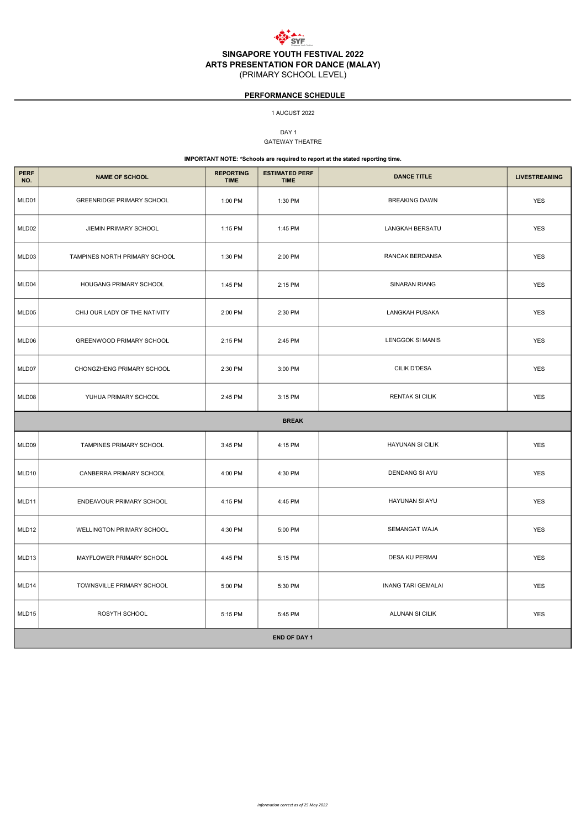

ARTS PRESENTATION FOR DANCE (MALAY)

(PRIMARY SCHOOL LEVEL)

DAY<sub>1</sub> GATEWAY THEATRE

| <b>PERF</b><br>NO. | <b>NAME OF SCHOOL</b>            | <b>REPORTING</b><br><b>TIME</b> | <b>ESTIMATED PERF</b><br><b>TIME</b> | <b>DANCE TITLE</b>        | <b>LIVESTREAMING</b> |  |  |  |
|--------------------|----------------------------------|---------------------------------|--------------------------------------|---------------------------|----------------------|--|--|--|
| MLD01              | <b>GREENRIDGE PRIMARY SCHOOL</b> | 1:00 PM                         | 1:30 PM                              | <b>BREAKING DAWN</b>      | <b>YES</b>           |  |  |  |
| MLD02              | JIEMIN PRIMARY SCHOOL            | 1:15 PM                         | 1:45 PM                              | LANGKAH BERSATU           | <b>YES</b>           |  |  |  |
| MLD03              | TAMPINES NORTH PRIMARY SCHOOL    | 1:30 PM                         | 2:00 PM                              | RANCAK BERDANSA           | <b>YES</b>           |  |  |  |
| MLD04              | HOUGANG PRIMARY SCHOOL           | 1:45 PM                         | 2:15 PM                              | SINARAN RIANG             | <b>YES</b>           |  |  |  |
| MLD05              | CHIJ OUR LADY OF THE NATIVITY    | 2:00 PM                         | 2:30 PM                              | LANGKAH PUSAKA            | <b>YES</b>           |  |  |  |
| MLD06              | GREENWOOD PRIMARY SCHOOL         | 2:15 PM                         | 2:45 PM                              | <b>LENGGOK SI MANIS</b>   | <b>YES</b>           |  |  |  |
| MLD07              | CHONGZHENG PRIMARY SCHOOL        | 2:30 PM                         | 3:00 PM                              | CILIK D'DESA              | <b>YES</b>           |  |  |  |
| MLD08              | YUHUA PRIMARY SCHOOL             | 2:45 PM                         | 3:15 PM                              | <b>RENTAK SI CILIK</b>    | <b>YES</b>           |  |  |  |
| <b>BREAK</b>       |                                  |                                 |                                      |                           |                      |  |  |  |
| MLD09              | TAMPINES PRIMARY SCHOOL          | 3:45 PM                         | 4:15 PM                              | <b>HAYUNAN SI CILIK</b>   | <b>YES</b>           |  |  |  |
| MLD10              | CANBERRA PRIMARY SCHOOL          | 4:00 PM                         | 4:30 PM                              | <b>DENDANG SI AYU</b>     | <b>YES</b>           |  |  |  |
| MLD11              | ENDEAVOUR PRIMARY SCHOOL         | 4:15 PM                         | 4:45 PM                              | HAYUNAN SI AYU            | <b>YES</b>           |  |  |  |
| MLD12              | <b>WELLINGTON PRIMARY SCHOOL</b> | 4:30 PM                         | 5:00 PM                              | <b>SEMANGAT WAJA</b>      | <b>YES</b>           |  |  |  |
| MLD13              | MAYFLOWER PRIMARY SCHOOL         | 4:45 PM                         | 5:15 PM                              | DESA KU PERMAI            | <b>YES</b>           |  |  |  |
| MLD14              | TOWNSVILLE PRIMARY SCHOOL        | 5:00 PM                         | 5:30 PM                              | <b>INANG TARI GEMALAI</b> | <b>YES</b>           |  |  |  |
| MLD15              | ROSYTH SCHOOL                    | 5:15 PM                         | 5:45 PM                              | ALUNAN SI CILIK           | <b>YES</b>           |  |  |  |

| <b>END OF DAY 1</b> |  |
|---------------------|--|
|---------------------|--|

#### 1 AUGUST 2022

IMPORTANT NOTE: \*Schools are required to report at the stated reporting time.

## PERFORMANCE SCHEDULE

Information correct as of 25 May 2022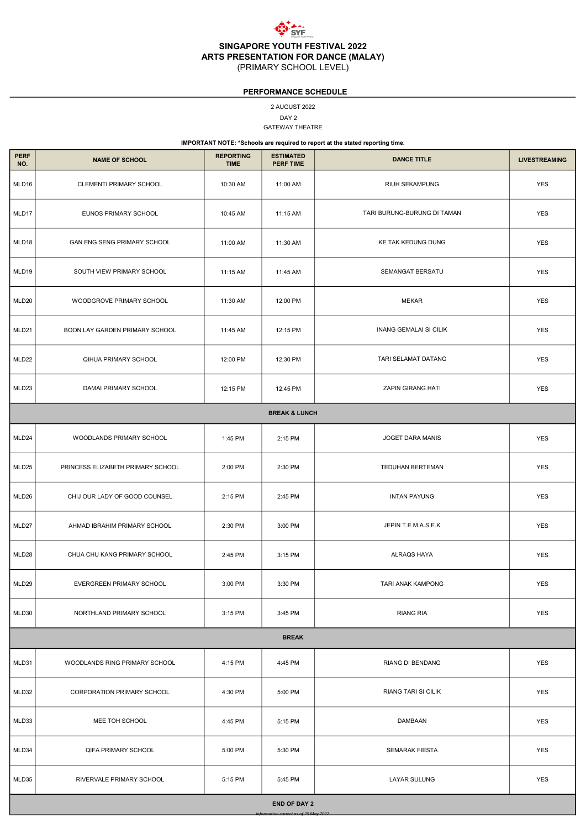

SINGAPORE YOUTH FESTIVAL 2022 ARTS PRESENTATION FOR DANCE (MALAY)

(PRIMARY SCHOOL LEVEL)

DAY 2 2 AUGUST 2022 GATEWAY THEATRE

| <b>PERF</b><br>NO. | <b>NAME OF SCHOOL</b>                                      | <b>REPORTING</b><br><b>TIME</b> | <b>ESTIMATED</b><br><b>PERF TIME</b> | <b>DANCE TITLE</b>            | <b>LIVESTREAMING</b> |  |  |  |  |
|--------------------|------------------------------------------------------------|---------------------------------|--------------------------------------|-------------------------------|----------------------|--|--|--|--|
| MLD16              | CLEMENTI PRIMARY SCHOOL                                    | 10:30 AM                        | 11:00 AM                             | RIUH SEKAMPUNG                | <b>YES</b>           |  |  |  |  |
| MLD17              | EUNOS PRIMARY SCHOOL                                       | 10:45 AM                        | 11:15 AM                             | TARI BURUNG-BURUNG DI TAMAN   | <b>YES</b>           |  |  |  |  |
| MLD18              | GAN ENG SENG PRIMARY SCHOOL                                | 11:00 AM                        | 11:30 AM                             | KE TAK KEDUNG DUNG            | <b>YES</b>           |  |  |  |  |
| MLD19              | SOUTH VIEW PRIMARY SCHOOL                                  | 11:15 AM                        | 11:45 AM                             | <b>SEMANGAT BERSATU</b>       | <b>YES</b>           |  |  |  |  |
| MLD20              | WOODGROVE PRIMARY SCHOOL                                   | 11:30 AM                        | 12:00 PM                             | <b>MEKAR</b>                  | <b>YES</b>           |  |  |  |  |
| MLD21              | BOON LAY GARDEN PRIMARY SCHOOL                             | 11:45 AM                        | 12:15 PM                             | <b>INANG GEMALAI SI CILIK</b> | <b>YES</b>           |  |  |  |  |
| MLD22              | QIHUA PRIMARY SCHOOL                                       | 12:00 PM                        | 12:30 PM                             | TARI SELAMAT DATANG           | <b>YES</b>           |  |  |  |  |
| MLD23              | DAMAI PRIMARY SCHOOL                                       | 12:15 PM                        | 12:45 PM                             | <b>ZAPIN GIRANG HATI</b>      | <b>YES</b>           |  |  |  |  |
|                    | <b>BREAK &amp; LUNCH</b>                                   |                                 |                                      |                               |                      |  |  |  |  |
| MLD24              | WOODLANDS PRIMARY SCHOOL                                   | 1:45 PM                         | 2:15 PM                              | JOGET DARA MANIS              | <b>YES</b>           |  |  |  |  |
| MLD25              | PRINCESS ELIZABETH PRIMARY SCHOOL                          | 2:00 PM                         | 2:30 PM                              | <b>TEDUHAN BERTEMAN</b>       | <b>YES</b>           |  |  |  |  |
| MLD26              | CHIJ OUR LADY OF GOOD COUNSEL                              | 2:15 PM                         | 2:45 PM                              | <b>INTAN PAYUNG</b>           | <b>YES</b>           |  |  |  |  |
| MLD27              | AHMAD IBRAHIM PRIMARY SCHOOL                               | 2:30 PM                         | 3:00 PM                              | JEPIN T.E.M.A.S.E.K           | <b>YES</b>           |  |  |  |  |
| MLD28              | CHUA CHU KANG PRIMARY SCHOOL                               | 2:45 PM                         | 3:15 PM                              | <b>ALRAQS HAYA</b>            | <b>YES</b>           |  |  |  |  |
| MLD29              | EVERGREEN PRIMARY SCHOOL                                   | 3:00 PM                         | 3:30 PM                              | TARI ANAK KAMPONG             | <b>YES</b>           |  |  |  |  |
| MLD30              | NORTHLAND PRIMARY SCHOOL                                   | 3:15 PM                         | 3:45 PM                              | <b>RIANG RIA</b>              | <b>YES</b>           |  |  |  |  |
| <b>BREAK</b>       |                                                            |                                 |                                      |                               |                      |  |  |  |  |
| MLD31              | WOODLANDS RING PRIMARY SCHOOL                              | 4:15 PM                         | 4:45 PM                              | <b>RIANG DI BENDANG</b>       | <b>YES</b>           |  |  |  |  |
| MLD32              | CORPORATION PRIMARY SCHOOL                                 | 4:30 PM                         | 5:00 PM                              | RIANG TARI SI CILIK           | <b>YES</b>           |  |  |  |  |
| MLD33              | MEE TOH SCHOOL                                             | 4:45 PM                         | 5:15 PM                              | <b>DAMBAAN</b>                | <b>YES</b>           |  |  |  |  |
| MLD34              | <b>QIFA PRIMARY SCHOOL</b>                                 | 5:00 PM                         | 5:30 PM                              | <b>SEMARAK FIESTA</b>         | <b>YES</b>           |  |  |  |  |
| MLD35              | RIVERVALE PRIMARY SCHOOL                                   | 5:15 PM                         | 5:45 PM                              | <b>LAYAR SULUNG</b>           | <b>YES</b>           |  |  |  |  |
|                    | <b>END OF DAY 2</b><br>formation correct as of 25 May 2022 |                                 |                                      |                               |                      |  |  |  |  |

## PERFORMANCE SCHEDULE

IMPORTANT NOTE: \*Schools are required to report at the stated reporting time.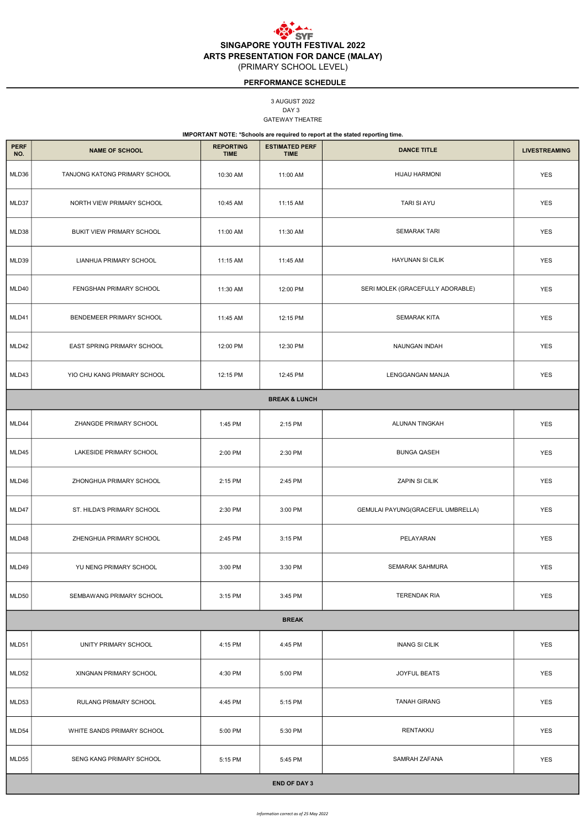**SYF** SINGAPORE YOUTH FESTIVAL 2022 ARTS PRESENTATION FOR DANCE (MALAY) (PRIMARY SCHOOL LEVEL)

> DAY 3 3 AUGUST 2022 GATEWAY THEATRE

| <b>PERF</b><br>NO.       | <b>NAME OF SCHOOL</b>         | <b>REPORTING</b><br><b>TIME</b> | <b>ESTIMATED PERF</b><br><b>TIME</b> | <b>DANCE TITLE</b>                | <b>LIVESTREAMING</b> |  |  |
|--------------------------|-------------------------------|---------------------------------|--------------------------------------|-----------------------------------|----------------------|--|--|
| MLD36                    | TANJONG KATONG PRIMARY SCHOOL | 10:30 AM                        | 11:00 AM                             | <b>HIJAU HARMONI</b>              | <b>YES</b>           |  |  |
| MLD37                    | NORTH VIEW PRIMARY SCHOOL     | 10:45 AM                        | 11:15 AM                             | <b>TARI SI AYU</b>                | <b>YES</b>           |  |  |
| MLD38                    | BUKIT VIEW PRIMARY SCHOOL     | 11:00 AM                        | 11:30 AM                             | <b>SEMARAK TARI</b>               | <b>YES</b>           |  |  |
| MLD39                    | LIANHUA PRIMARY SCHOOL        | 11:15 AM                        | 11:45 AM                             | <b>HAYUNAN SI CILIK</b>           | <b>YES</b>           |  |  |
| MLD40                    | FENGSHAN PRIMARY SCHOOL       | 11:30 AM                        | 12:00 PM                             | SERI MOLEK (GRACEFULLY ADORABLE)  | <b>YES</b>           |  |  |
| MLD41                    | BENDEMEER PRIMARY SCHOOL      | 11:45 AM                        | 12:15 PM                             | SEMARAK KITA                      | <b>YES</b>           |  |  |
| MLD42                    | EAST SPRING PRIMARY SCHOOL    | 12:00 PM                        | 12:30 PM                             | NAUNGAN INDAH                     | <b>YES</b>           |  |  |
| MLD43                    | YIO CHU KANG PRIMARY SCHOOL   | 12:15 PM                        | 12:45 PM                             | LENGGANGAN MANJA                  | <b>YES</b>           |  |  |
| <b>BREAK &amp; LUNCH</b> |                               |                                 |                                      |                                   |                      |  |  |
| MLD44                    | ZHANGDE PRIMARY SCHOOL        | 1:45 PM                         | 2:15 PM                              | ALUNAN TINGKAH                    | <b>YES</b>           |  |  |
| MLD45                    | LAKESIDE PRIMARY SCHOOL       | 2:00 PM                         | 2:30 PM                              | <b>BUNGA QASEH</b>                | YES                  |  |  |
| MLD46                    | ZHONGHUA PRIMARY SCHOOL       | 2:15 PM                         | 2:45 PM                              | ZAPIN SI CILIK                    | <b>YES</b>           |  |  |
| MLD47                    | ST. HILDA'S PRIMARY SCHOOL    | 2:30 PM                         | 3:00 PM                              | GEMULAI PAYUNG(GRACEFUL UMBRELLA) | <b>YES</b>           |  |  |
| MLD48                    | ZHENGHUA PRIMARY SCHOOL       | 2:45 PM                         | 3:15 PM                              | PELAYARAN                         | <b>YES</b>           |  |  |
| MLD49                    | YU NENG PRIMARY SCHOOL        | 3:00 PM                         | 3:30 PM                              | SEMARAK SAHMURA                   | <b>YES</b>           |  |  |
| MLD50                    | SEMBAWANG PRIMARY SCHOOL      | 3:15 PM                         | 3:45 PM                              | <b>TERENDAK RIA</b>               | <b>YES</b>           |  |  |

# PERFORMANCE SCHEDULE

IMPORTANT NOTE: \*Schools are required to report at the stated reporting time.

| MLD51               | UNITY PRIMARY SCHOOL       | 4:15 PM | 4:45 PM | <b>INANG SI CILIK</b> | <b>YES</b> |  |
|---------------------|----------------------------|---------|---------|-----------------------|------------|--|
| MLD52               | XINGNAN PRIMARY SCHOOL     | 4:30 PM | 5:00 PM | <b>JOYFUL BEATS</b>   | <b>YES</b> |  |
| MLD53               | RULANG PRIMARY SCHOOL      | 4:45 PM | 5:15 PM | <b>TANAH GIRANG</b>   | <b>YES</b> |  |
| MLD54               | WHITE SANDS PRIMARY SCHOOL | 5:00 PM | 5:30 PM | RENTAKKU              | <b>YES</b> |  |
| MLD55               | SENG KANG PRIMARY SCHOOL   | 5:15 PM | 5:45 PM | SAMRAH ZAFANA         | <b>YES</b> |  |
| <b>END OF DAY 3</b> |                            |         |         |                       |            |  |

BREAK